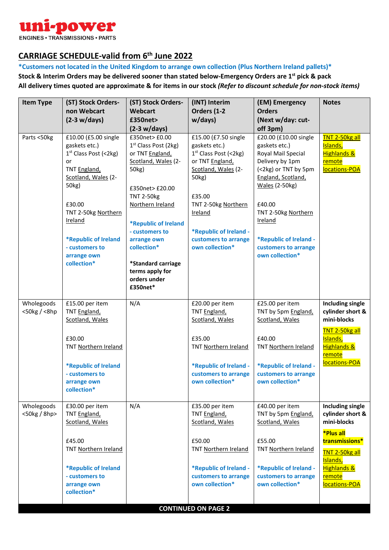

## **CARRIAGE SCHEDULE-valid from 6th June 2022**

**\*Customers not located in the United Kingdom to arrange own collection (Plus Northern Ireland pallets)\* Stock & Interim Orders may be delivered sooner than stated below-Emergency Orders are 1st pick & pack All delivery times quoted are approximate & for items in our stock** *(Refer to discount schedule for non-stock items)*

| <b>Item Type</b>                   | (ST) Stock Orders-                                                                                                                                                                                                                                | (ST) Stock Orders-                                                                                                                                                                                                                                                                                            | (INT) Interim                                                                                                                                                                                                                                  | (EM) Emergency                                                                                                                                                                                                                                                          | <b>Notes</b>                                                                                                                                                                        |  |  |
|------------------------------------|---------------------------------------------------------------------------------------------------------------------------------------------------------------------------------------------------------------------------------------------------|---------------------------------------------------------------------------------------------------------------------------------------------------------------------------------------------------------------------------------------------------------------------------------------------------------------|------------------------------------------------------------------------------------------------------------------------------------------------------------------------------------------------------------------------------------------------|-------------------------------------------------------------------------------------------------------------------------------------------------------------------------------------------------------------------------------------------------------------------------|-------------------------------------------------------------------------------------------------------------------------------------------------------------------------------------|--|--|
|                                    | non Webcart                                                                                                                                                                                                                                       | <b>Webcart</b>                                                                                                                                                                                                                                                                                                | Orders (1-2                                                                                                                                                                                                                                    | <b>Orders</b>                                                                                                                                                                                                                                                           |                                                                                                                                                                                     |  |  |
|                                    | $(2-3 w/day)$                                                                                                                                                                                                                                     | £350net>                                                                                                                                                                                                                                                                                                      | w/days)                                                                                                                                                                                                                                        | (Next w/day: cut-                                                                                                                                                                                                                                                       |                                                                                                                                                                                     |  |  |
|                                    |                                                                                                                                                                                                                                                   | $(2-3 w/day)$                                                                                                                                                                                                                                                                                                 |                                                                                                                                                                                                                                                | off 3pm)                                                                                                                                                                                                                                                                |                                                                                                                                                                                     |  |  |
| Parts <50kg                        | £10.00 (£5.00 single<br>gaskets etc.)<br>$1st$ Class Post (<2kg)<br>or<br>TNT England,<br>Scotland, Wales (2-<br>50kg)<br>£30.00<br>TNT 2-50kg Northern<br><b>Ireland</b><br>*Republic of Ireland<br>- customers to<br>arrange own<br>collection* | £350net> £0.00<br>1 <sup>st</sup> Class Post (2kg)<br>or TNT England,<br>Scotland, Wales (2-<br>50kg)<br>£350net>£20.00<br><b>TNT 2-50kg</b><br>Northern Ireland<br>*Republic of Ireland<br>- customers to<br>arrange own<br>collection*<br>*Standard carriage<br>terms apply for<br>orders under<br>£350net* | £15.00 (£7.50 single<br>gaskets etc.)<br>1 <sup>st</sup> Class Post (<2kg)<br>or TNT England,<br>Scotland, Wales (2-<br>50kg)<br>£35.00<br>TNT 2-50kg Northern<br>Ireland<br>*Republic of Ireland -<br>customers to arrange<br>own collection* | £20.00 (£10.00 single<br>gaskets etc.)<br>Royal Mail Special<br>Delivery by 1pm<br>(<2kg) or TNT by 5pm<br>England, Scotland,<br><b>Wales (2-50kg)</b><br>£40.00<br>TNT 2-50kg Northern<br>Ireland<br>*Republic of Ireland -<br>customers to arrange<br>own collection* | TNT 2-50kg all<br>Islands,<br><b>Highlands &amp;</b><br><b>remote</b><br>locations-POA                                                                                              |  |  |
| Wholegoods<br>$<$ 50 $kg / < 8$ hp | £15.00 per item<br>TNT England,<br>Scotland, Wales<br>£30.00<br>TNT Northern Ireland<br>*Republic of Ireland<br>- customers to<br>arrange own<br>collection*                                                                                      | N/A                                                                                                                                                                                                                                                                                                           | £20.00 per item<br>TNT England,<br>Scotland, Wales<br>£35.00<br>TNT Northern Ireland<br>*Republic of Ireland -<br>customers to arrange<br>own collection*                                                                                      | £25.00 per item<br>TNT by 5pm England,<br>Scotland, Wales<br>£40.00<br>TNT Northern Ireland<br>*Republic of Ireland -<br>customers to arrange<br>own collection*                                                                                                        | <b>Including single</b><br>cylinder short &<br>mini-blocks<br><b>TNT 2-50kg all</b><br>Islands,<br><b>Highlands &amp;</b><br><b>remote</b><br>locations-POA                         |  |  |
| Wholegoods<br><50kg / 8hp>         | £30.00 per item<br>TNT England,<br>Scotland, Wales<br>£45.00<br>TNT Northern Ireland<br>*Republic of Ireland<br>- customers to<br>arrange own<br>collection*                                                                                      | N/A                                                                                                                                                                                                                                                                                                           | £35.00 per item<br>TNT England,<br>Scotland, Wales<br>£50.00<br>TNT Northern Ireland<br>*Republic of Ireland -<br>customers to arrange<br>own collection*                                                                                      | £40.00 per item<br>TNT by 5pm England,<br>Scotland, Wales<br>£55.00<br>TNT Northern Ireland<br>*Republic of Ireland -<br>customers to arrange<br>own collection*                                                                                                        | <b>Including single</b><br>cylinder short &<br>mini-blocks<br>*Plus all<br>transmissions*<br><b>TNT 2-50kg all</b><br>Islands,<br><b>Highlands &amp;</b><br>remote<br>locations-POA |  |  |
| <b>CONTINUED ON PAGE 2</b>         |                                                                                                                                                                                                                                                   |                                                                                                                                                                                                                                                                                                               |                                                                                                                                                                                                                                                |                                                                                                                                                                                                                                                                         |                                                                                                                                                                                     |  |  |